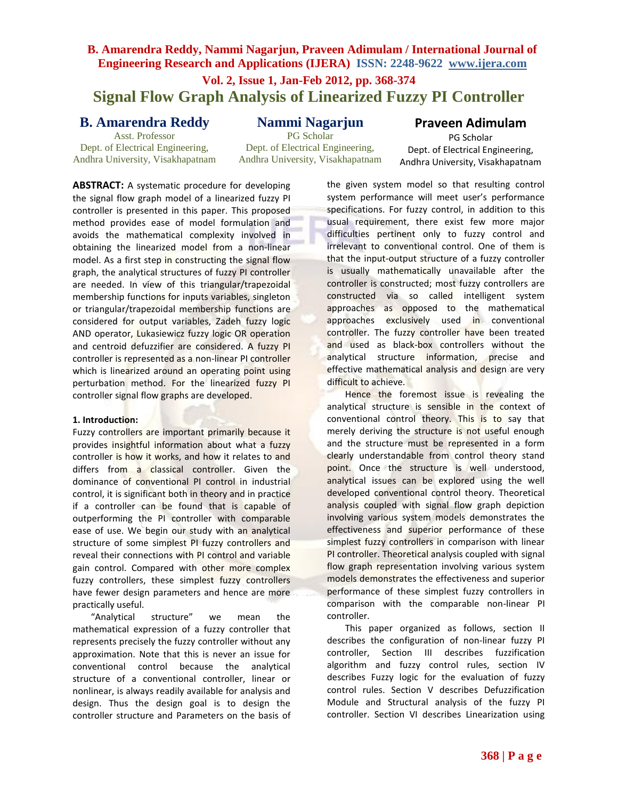### **B. Amarendra Reddy, Nammi Nagarjun, Praveen Adimulam / International Journal of Engineering Research and Applications (IJERA) ISSN: 2248-9622 www.ijera.com**

# **Vol. 2, Issue 1, Jan-Feb 2012, pp. 368-374 Signal Flow Graph Analysis of Linearized Fuzzy PI Controller**

## **B. Amarendra Reddy**

Asst. Professor Dept. of Electrical Engineering, Andhra University, Visakhapatnam **Nammi Nagarjun**

PG Scholar Dept. of Electrical Engineering, Andhra University, Visakhapatnam

**Praveen Adimulam** PG Scholar Dept. of Electrical Engineering, Andhra University, Visakhapatnam

**ABSTRACT:** A systematic procedure for developing the signal flow graph model of a linearized fuzzy PI controller is presented in this paper. This proposed method provides ease of model formulation and avoids the mathematical complexity involved in obtaining the linearized model from a non-linear model. As a first step in constructing the signal flow graph, the analytical structures of fuzzy PI controller are needed. In view of this triangular/trapezoidal membership functions for inputs variables, singleton or triangular/trapezoidal membership functions are considered for output variables, Zadeh fuzzy logic AND operator, Lukasiewicz fuzzy logic OR operation and centroid defuzzifier are considered. A fuzzy PI controller is represented as a non-linear PI controller which is linearized around an operating point using perturbation method. For the linearized fuzzy PI controller signal flow graphs are developed.

#### **1. Introduction:**

Fuzzy controllers are important primarily because it provides insightful information about what a fuzzy controller is how it works, and how it relates to and differs from a classical controller. Given the dominance of conventional PI control in industrial control, it is significant both in theory and in practice if a controller can be found that is capable of outperforming the PI controller with comparable ease of use. We begin our study with an analytical structure of some simplest PI fuzzy controllers and reveal their connections with PI control and variable gain control. Compared with other more complex fuzzy controllers, these simplest fuzzy controllers have fewer design parameters and hence are more practically useful.

"Analytical structure" we mean the mathematical expression of a fuzzy controller that represents precisely the fuzzy controller without any approximation. Note that this is never an issue for conventional control because the analytical structure of a conventional controller, linear or nonlinear, is always readily available for analysis and design. Thus the design goal is to design the controller structure and Parameters on the basis of

the given system model so that resulting control system performance will meet user's performance specifications. For fuzzy control, in addition to this usual requirement, there exist few more major difficulties pertinent only to fuzzy control and irrelevant to conventional control. One of them is that the input-output structure of a fuzzy controller is usually mathematically unavailable after the controller is constructed; most fuzzy controllers are constructed via so called intelligent system approaches as opposed to the mathematical approaches exclusively used in conventional controller. The fuzzy controller have been treated and used as black-box controllers without the analytical structure information, precise and effective mathematical analysis and design are very difficult to achieve.

Hence the foremost issue is revealing the analytical structure is sensible in the context of conventional control theory. This is to say that merely deriving the structure is not useful enough and the structure must be represented in a form clearly understandable from control theory stand point. Once the structure is well understood, analytical issues can be explored using the well developed conventional control theory. Theoretical analysis coupled with signal flow graph depiction involving various system models demonstrates the effectiveness and superior performance of these simplest fuzzy controllers in comparison with linear PI controller. Theoretical analysis coupled with signal flow graph representation involving various system models demonstrates the effectiveness and superior performance of these simplest fuzzy controllers in comparison with the comparable non-linear PI controller.

This paper organized as follows, section II describes the configuration of non-linear fuzzy PI controller, Section III describes fuzzification algorithm and fuzzy control rules, section IV describes Fuzzy logic for the evaluation of fuzzy control rules. Section V describes Defuzzification Module and Structural analysis of the fuzzy PI controller. Section VI describes Linearization using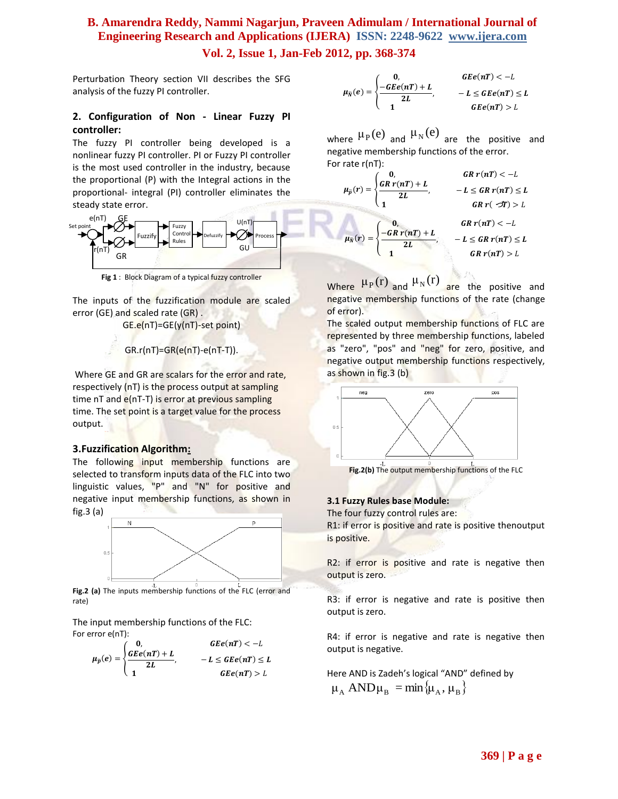# **B. Amarendra Reddy, Nammi Nagarjun, Praveen Adimulam / International Journal of Engineering Research and Applications (IJERA) ISSN: 2248-9622 www.ijera.com**

### **Vol. 2, Issue 1, Jan-Feb 2012, pp. 368-374**

Perturbation Theory section VII describes the SFG analysis of the fuzzy PI controller.

### **2. Configuration of Non - Linear Fuzzy PI controller:**

The fuzzy PI controller being developed is a nonlinear fuzzy PI controller. PI or Fuzzy PI controller is the most used controller in the industry, because the proportional (P) with the Integral actions in the proportional- integral (PI) controller eliminates the steady state error.



**Fig 1** : Block Diagram of a typical fuzzy controller

The inputs of the fuzzification module are scaled error (GE) and scaled rate (GR) .

GE.e(nT)=GE(y(nT)-set point)

#### GR.r(nT)=GR(e(nT)-e(nT-T)).

Where GE and GR are scalars for the error and rate, respectively (nT) is the process output at sampling time nT and e(nT-T) is error at previous sampling time. The set point is a target value for the process output.

### **3.Fuzzification Algorithm:**

The following input membership functions are selected to transform inputs data of the FLC into two linguistic values, "P" and "N" for positive and negative input membership functions, as shown in fig.3 (a)



**Fig.2 (a)** The inputs membership functions of the FLC (error and rate)

The input membership functions of the FLC: For error e(nT):

$$
\mu_{\bar{p}}(e) = \begin{cases}\n0, & \text{G}Ee(nT) < -L \\
\frac{GEe(nT) + L}{2L}, & -L \leq GEe(nT) \leq L \\
1 & \text{G}Ee(nT) > L\n\end{cases}
$$

$$
\mu_{\bar{N}}(e) = \begin{cases}\n0, & \text{G}Ee(nT) < -L \\
\frac{-GEe(nT) + L}{2L}, & -L \leq GEe(nT) \leq L \\
1 & \text{G}Ee(nT) > L\n\end{cases}
$$

where  $\mu_P(e)$  and  $\mu_N(e)$  are the positive and negative membership functions of the error. For rate r(nT):

$$
\mu_{\bar{p}}(r) = \begin{cases}\n0, & GR \ r(n) < -L \\
\frac{GR \ r(n) + L}{2L}, & -L \leq GR \ r(n) \leq L \\
1 & GR \ r(\sqrt{2}) > L\n\end{cases}
$$
\n
$$
\mu_{\bar{N}}(r) = \begin{cases}\n0, & GR \ r(n) < -L \\
\frac{-GR \ r(n) + L}{2L}, & -L \leq GR \ r(n) \leq L \\
1 & GR \ r(n) > L\n\end{cases}
$$

Where  $\mu_P(r)$  and  $\mu_N(r)$  are the positive and negative membership functions of the rate (change of error).

The scaled output membership functions of FLC are represented by three membership functions, labeled as "zero", "pos" and "neg" for zero, positive, and negative output membership functions respectively, as shown in fig.3 (b)



### **3.1 Fuzzy Rules base Module:**

The four fuzzy control rules are: R1: if error is positive and rate is positive thenoutput is positive.

R2: if error is positive and rate is negative then output is zero.

R3: if error is negative and rate is positive then output is zero.

R4: if error is negative and rate is negative then output is negative.

Here AND is Zadeh's logical "AND" defined by  $\mu_A$  AND $\mu_B$  = min $\{\mu_A, \mu_B\}$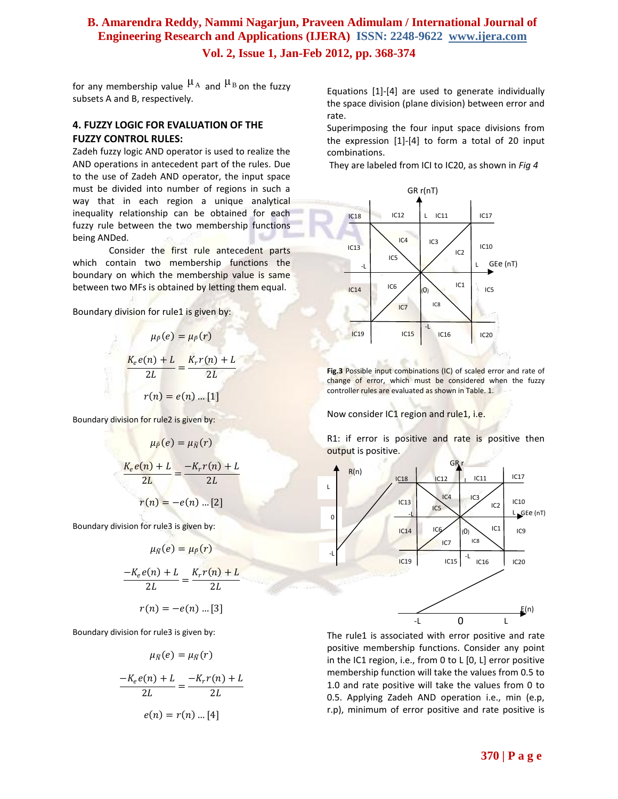for any membership value  $\mu_A$  and  $\mu_B$  on the fuzzy subsets A and B, respectively.

### **4. FUZZY LOGIC FOR EVALUATION OF THE FUZZY CONTROL RULES:**

Zadeh fuzzy logic AND operator is used to realize the AND operations in antecedent part of the rules. Due to the use of Zadeh AND operator, the input space must be divided into number of regions in such a way that in each region a unique analytical inequality relationship can be obtained for each fuzzy rule between the two membership functions being ANDed.

Consider the first rule antecedent parts which contain two membership functions the boundary on which the membership value is same between two MFs is obtained by letting them equal.

Boundary division for rule1 is given by:

$$
\mu_{\tilde{P}}(e) = \mu_{\tilde{P}}(r)
$$

$$
\frac{K_e e(n) + L}{2L} = \frac{K_r r(n) + L}{2L}
$$

$$
r(n) = e(n) \dots [1]
$$

Boundary division for rule2 is given by:

$$
\mu_{\bar{P}}(e) = \mu_{\bar{N}}(r)
$$

$$
\frac{K_e e(n) + L}{2L} = \frac{-K_r r(n) + L}{2L}
$$

$$
r(n) = -e(n) \dots [2]
$$

Boundary division for rule3 is given by:

$$
\mu_{\bar{N}}(e) = \mu_{\bar{P}}(r)
$$

$$
\frac{-K_e e(n) + L}{2L} = \frac{K_r r(n) + L}{2L}
$$

$$
r(n) = -e(n) \dots [3]
$$

Boundary division for rule3 is given by:

$$
\mu_{\bar{N}}(e) = \mu_{\bar{N}}(r)
$$

$$
\frac{-K_e e(n) + L}{2L} = \frac{-K_r r(n) + L}{2L}
$$

$$
e(n) = r(n) ... [4]
$$

Equations [1]-[4] are used to generate individually the space division (plane division) between error and rate.

Superimposing the four input space divisions from the expression [1]-[4] to form a total of 20 input combinations.

They are labeled from ICI to IC20, as shown in *Fig 4*



**Fig.3** Possible input combinations (IC) of scaled error and rate of change of error, which must be considered when the fuzzy controller rules are evaluated as shown in Table. 1.

Now consider IC1 region and rule1, i.e.

R1: if error is positive and rate is positive then output is positive.



The rule1 is associated with error positive and rate positive membership functions. Consider any point in the IC1 region, i.e., from 0 to L [0, L] error positive membership function will take the values from 0.5 to 1.0 and rate positive will take the values from 0 to 0.5. Applying Zadeh AND operation i.e., min (e.p, r.p), minimum of error positive and rate positive is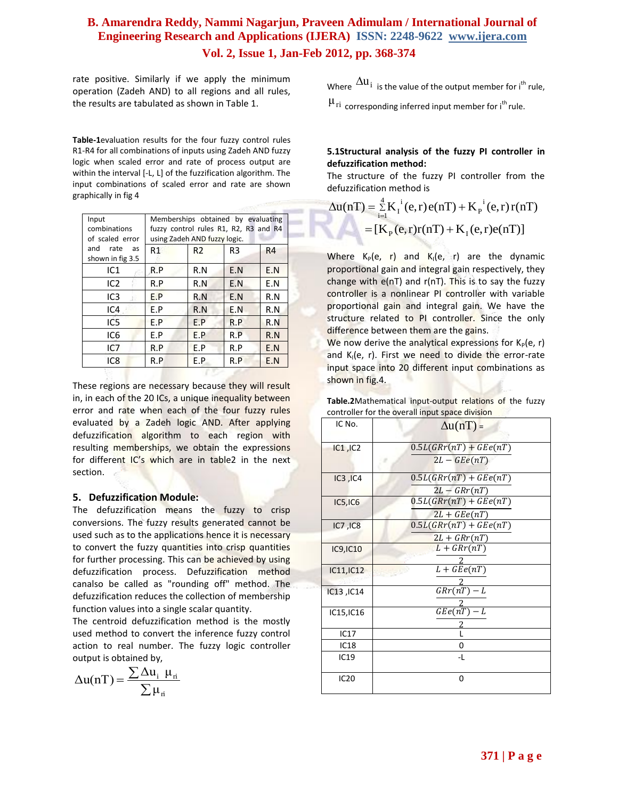rate positive. Similarly if we apply the minimum operation (Zadeh AND) to all regions and all rules, the results are tabulated as shown in Table 1.

**Table-1**evaluation results for the four fuzzy control rules R1-R4 for all combinations of inputs using Zadeh AND fuzzy logic when scaled error and rate of process output are within the interval [-L, L] of the fuzzification algorithm. The input combinations of scaled error and rate are shown graphically in fig 4

| Input<br>combinations<br>of scaled error | Memberships obtained by evaluating<br>fuzzy control rules R1, R2, R3 and R4<br>using Zadeh AND fuzzy logic. |                |     |     |
|------------------------------------------|-------------------------------------------------------------------------------------------------------------|----------------|-----|-----|
| and<br>rate<br>as<br>shown in fig 3.5    | R1                                                                                                          | R <sub>2</sub> | R3  | R4  |
| IC1                                      | R.P                                                                                                         | R.N            | E.N | E.N |
| IC <sub>2</sub>                          | R.P                                                                                                         | R.N            | E.N | E.N |
| IC <sub>3</sub>                          | E.P                                                                                                         | R.N            | E.N | R.N |
| IC4                                      | F.P                                                                                                         | R.N            | E.N | R.N |
| IC5                                      | E.P                                                                                                         | E.P            | R.P | R.N |
| IC6                                      | E.P                                                                                                         | E.P            | R.P | R.N |
| IC7                                      | R.P                                                                                                         | E.P            | R.P | E.N |
| IC <sub>8</sub>                          | R.P                                                                                                         | E.P            | R.P | E.N |
|                                          |                                                                                                             |                |     |     |

These regions are necessary because they will result in, in each of the 20 ICs, a unique inequality between error and rate when each of the four fuzzy rules evaluated by a Zadeh logic AND. After applying defuzzification algorithm to each region with resulting memberships, we obtain the expressions for different IC's which are in table2 in the next section.

#### **5. Defuzzification Module:**

The defuzzification means the fuzzy to crisp conversions. The fuzzy results generated cannot be used such as to the applications hence it is necessary to convert the fuzzy quantities into crisp quantities for further processing. This can be achieved by using defuzzification process. Defuzzification method canalso be called as "rounding off" method. The defuzzification reduces the collection of membership function values into a single scalar quantity.

The centroid defuzzification method is the mostly used method to convert the inference fuzzy control action to real number. The fuzzy logic controller output is obtained by,

$$
\Delta u(nT) = \frac{\sum \Delta u_i \ \mu_{\rm ri}}{\sum \mu_{\rm ri}}
$$

Where  $\Delta u_i$  is the value of the output member for i<sup>th</sup> rule,

 $\mu_{\textrm{ri}}$  corresponding inferred input member for i<sup>th</sup> rule.

#### **5.1Structural analysis of the fuzzy PI controller in defuzzification method:**

The structure of the fuzzy PI controller from the defuzzification method is

$$
\Delta u(nT) = \sum_{i=1}^{4} K_i^{i}(e, r) e(nT) + K_p^{i}(e, r) r(nT)
$$
  
=  $[K_p(e, r)r(nT) + K_i(e, r)e(nT)]$ 

Where  $K_P(e, r)$  and  $K_I(e, r)$  are the dynamic proportional gain and integral gain respectively, they change with  $e(nT)$  and  $r(nT)$ . This is to say the fuzzy controller is a nonlinear PI controller with variable proportional gain and integral gain. We have the structure related to PI controller. Since the only difference between them are the gains.

We now derive the analytical expressions for  $K_p(e, r)$ and K<sub>I</sub>(e, r). First we need to divide the error-rate input space into 20 different input combinations as shown in fig.4.

| <b>Table.2</b> Mathematical input-output relations of the fuzzy |  |  |
|-----------------------------------------------------------------|--|--|
| controller for the overall input space division                 |  |  |

| IC No.           | $\Delta u(nT)$ =          |
|------------------|---------------------------|
| IC1, IC2         | $0.5L(GRr(nT) + GEe(nT))$ |
|                  | $2L - GEe(nT)$            |
| IC3, IC4         | $0.5L(GRr(nT) + GEe(nT))$ |
|                  | $2L - G R r (nT)$         |
| IC5,IC6          | $0.5L(GRr(nT) + GEe(nT))$ |
|                  | $2L + GEe(nT)$            |
| IC7, IC8         | $0.5L(GRr(nT) + GEe(nT))$ |
|                  | $2L+GRr(nT)$              |
| <b>IC9, IC10</b> | $L+Gr(nT)$                |
|                  |                           |
| IC11, IC12       | $L + GEe(nT)$             |
|                  |                           |
| IC13, IC14       | $GRr(nT) - L$             |
|                  |                           |
| IC15, IC16       | $GEe(nT) - L$             |
| IC17             |                           |
|                  |                           |
| <b>IC18</b>      | 0                         |
| <b>IC19</b>      | -L                        |
| <b>IC20</b>      | 0                         |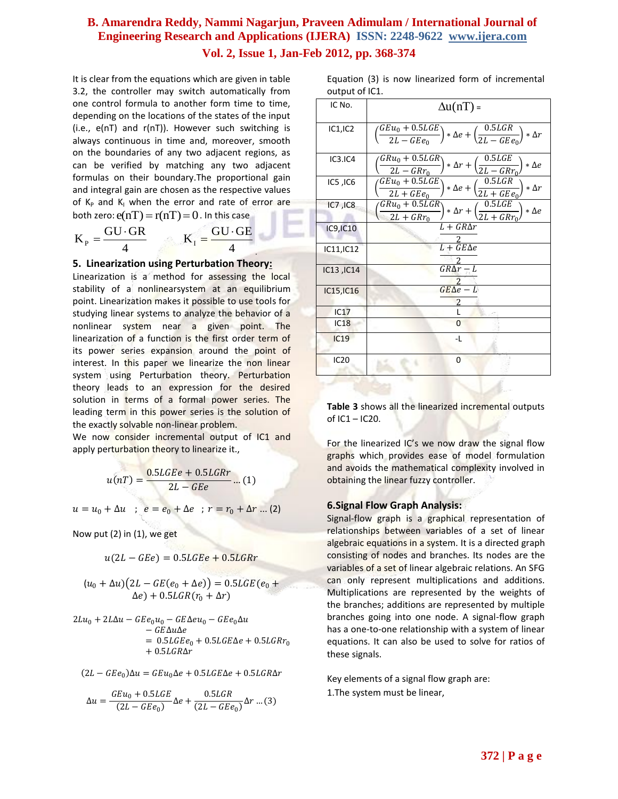It is clear from the equations which are given in table 3.2, the controller may switch automatically from one control formula to another form time to time, depending on the locations of the states of the input (i.e., e(nT) and r(nT)). However such switching is always continuous in time and, moreover, smooth on the boundaries of any two adjacent regions, as can be verified by matching any two adjacent formulas on their boundary.The proportional gain and integral gain are chosen as the respective values of  $K_p$  and  $K_l$  when the error and rate of error are both zero:  $e(nT) = r(nT) = 0$  . In this case

$$
K_{P} = \frac{GU \cdot GR}{4} \qquad K_{I} = \frac{GU \cdot GE}{4}
$$

#### **5. Linearization using Perturbation Theory:**

Linearization is a method for assessing the local [stability](http://en.wikipedia.org/wiki/Stability_theory) of a [nonlinearsystem](http://en.wikipedia.org/wiki/Nonlinear) at an [equilibrium](http://en.wikipedia.org/wiki/Equilibrium_point)  [point.](http://en.wikipedia.org/wiki/Equilibrium_point) Linearization makes it possible to use tools for studying [linear systems](http://en.wikipedia.org/wiki/Linear_system) to analyze the behavior of a nonlinear system near a given point. The linearization of a function is the first order term of its [power series](http://en.wikipedia.org/wiki/Taylor_expansion) expansion around the point of interest. In this paper we linearize the non linear system using Perturbation theory. Perturbation theory leads to an expression for the desired solution in terms of a formal [power series.](http://en.wikipedia.org/wiki/Power_series) The leading term in this power series is the solution of the exactly solvable non-linear problem.

We now consider incremental output of IC1 and apply perturbation theory to linearize it.,

$$
u(nT) = \frac{0.5LGEe + 0.5LGRr}{2L - GEe} \dots (1)
$$

 $u = u_0 + \Delta u$  ;  $e = e_0 + \Delta e$  ;  $r = r_0 + \Delta r$  ... (2)

Now put (2) in (1), we get

$$
u(2L - GEe) = 0.5LGEe + 0.5LG
$$

$$
(u0 + \Delta u)(2L - GE(e0 + \Delta e)) = 0.5LGE(e0 + \Delta e) + 0.5LGR(r0 + \Delta r)
$$

$$
2Lu_0 + 2L\Delta u - GEe_0u_0 - GE\Delta eu_0 - GEe_0\Delta u
$$
  
- GE\Delta u\Delta e  
= 0.5LGEe\_0 + 0.5LGE\Delta e + 0.5LGRr\_0  
+ 0.5LGR\Delta r

 $(2L - GE_{0})\Delta u = GEu_{0}\Delta e + 0.5LGE\Delta e + 0.5LGR\Delta r$ 

$$
\Delta u = \frac{GEu_0 + 0.5LGE}{(2L - GEe_0)}\Delta e + \frac{0.5LGR}{(2L - GEe_0)}\Delta r \dots (3)
$$

Equation (3) is now linearized form of incremental output of IC1.

| IC No.           | $\Delta u(nT)$ =                                                                                                                 |
|------------------|----------------------------------------------------------------------------------------------------------------------------------|
| IC1,IC2          | $\overline{GEu_0 + 0.5L}GE$<br>$* \Delta e + \left(\frac{0.5 LGR}{2L - GE e_0}\right)$<br>$*\Delta r$<br>$\overline{2L - GEe_0}$ |
| IC3.IC4          | $GRu_0 + 0.5LGR$<br>$* \Delta r + \left(\frac{0.5 LGE}{2L - GRr_0}\right)$<br>$\ast$ $\Delta e$<br>$2L - G R r_0$                |
| IC5, IC6         | 0.5LGR<br>$GEu_0 + 0.5LGE$<br>$\ast$ $\Delta e$ +<br>$*\Delta r$<br>$2L + GEe_0$<br>$2L + GE$ <sub>0</sub>                       |
| IC7, IC8         | $\frac{0.5LGE}{2L+GRr}$<br>$GRu_0 + 0.5LGR$<br>$*\Delta r +$<br>$*\Delta e$<br>$2L+GRr_0$                                        |
| <b>IC9, IC10</b> | $L+GR\Delta r$                                                                                                                   |
| IC11, IC12       | $L + G E \Delta e$                                                                                                               |
| IC13, IC14       | $GR\Delta r - L$                                                                                                                 |
| IC15, IC16       | $GE\Delta e - L$                                                                                                                 |
| IC17             |                                                                                                                                  |
| IC18             | $\Omega$                                                                                                                         |
| <b>IC19</b>      | -L                                                                                                                               |
| <b>IC20</b>      | 0                                                                                                                                |

**Table 3** shows all the linearized incremental outputs of IC1 – IC20.

For the linearized IC's we now draw the signal flow graphs which provides ease of model formulation and avoids the mathematical complexity involved in obtaining the linear fuzzy controller.

#### **6.Signal Flow Graph Analysis:**

Signal-flow graph is a graphical representation of relationships between variables of a set of linear algebraic equations in a system. It is [a directed graph](http://en.wikipedia.org/wiki/Directed_graph) consisting of nodes and branches. Its nodes are the variables of a set of linear algebraic relations. An SFG can only represent multiplications and additions. Multiplications are represented by the weights of the branches; additions are represented by multiple branches going into one node. A signal-flow graph has a one-to-one relationship with a system of linear equations. It can also be used to solve for ratios of these signals.

Key elements of a signal flow graph are: 1.The system must be linear,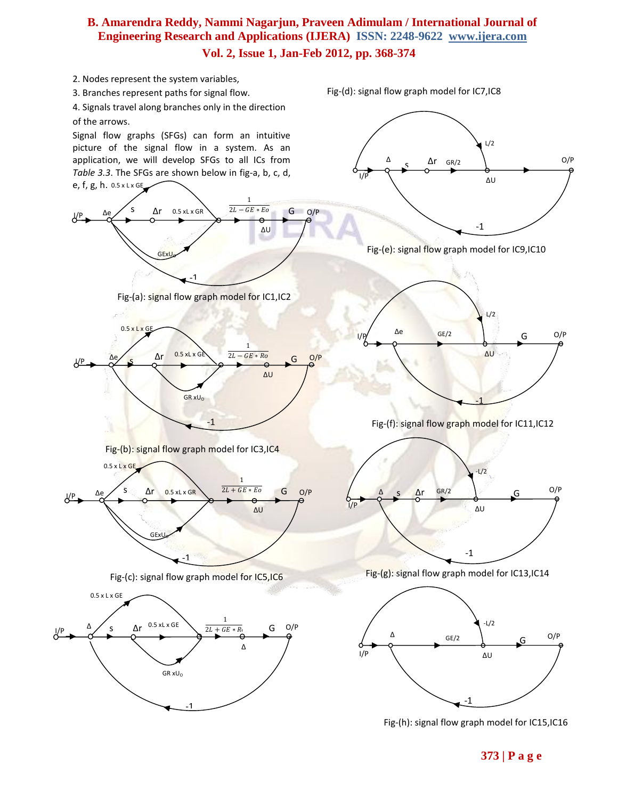

Fig-(h): signal flow graph model for IC15,IC16

**373 | P a g e**